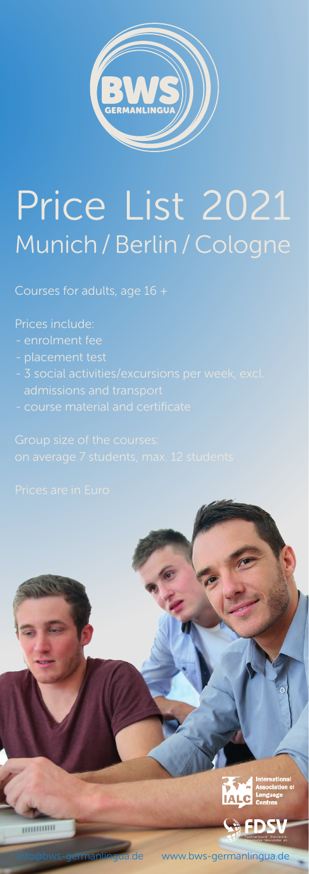

# Price List 2021 Munich / Berlin / Cologne

Courses for adults, age 16 +

Prices include:

- enrolment fee
- 
- 
- 





www.bws-germanlingua.de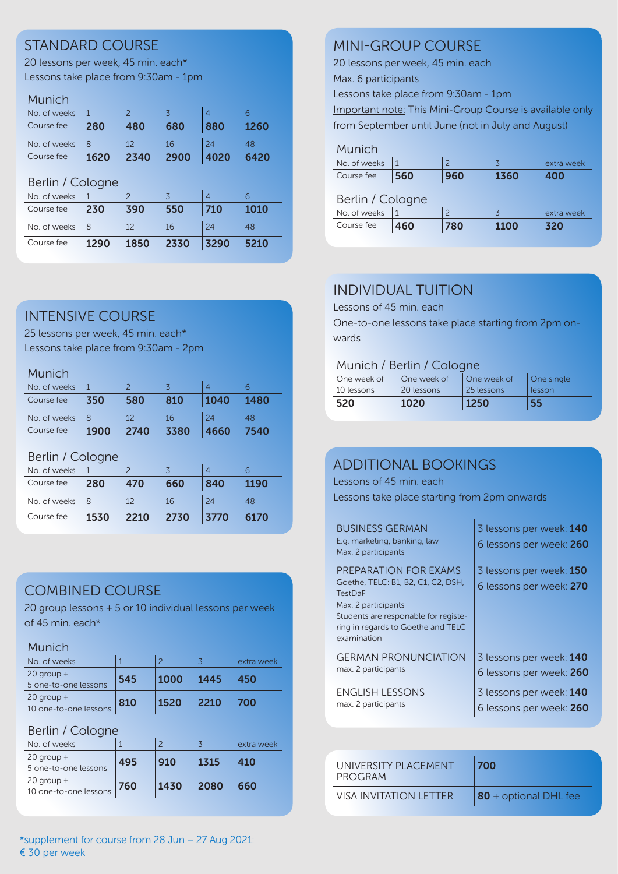## STANDARD COURSE

20 lessons per week, 45 min. each\* Lessons take place from 9:30am - 1pm

#### Munich

| No. of weeks |      |      |      |      |      |
|--------------|------|------|------|------|------|
| Course fee   | 280  | 480  | 680  | 880  | 1260 |
| No. of weeks |      | 12   | 16   |      | 48   |
| Course fee   | 1620 | 2340 | 2900 | 4020 | 6420 |

#### Berlin / Cologne

| No. of weeks |      |      |      |      |      |
|--------------|------|------|------|------|------|
| Course fee   | 230  | 390  | 550  | 710  | 1010 |
| No. of weeks |      | 12   | 16   | 24   | 48   |
| Course fee   | 1290 | 1850 | 2330 | 3290 | 5210 |

## INTENSIVE COURSE

25 lessons per week, 45 min. each\* Lessons take place from 9:30am - 2pm

#### Munich

| No. of weeks |      |      |      |      |      |
|--------------|------|------|------|------|------|
| Course fee   | 350  | 580  | 810  | 1040 | 1480 |
| No. of weeks |      |      | 16   | 24   | 48   |
| Course fee   | 1900 | 2740 | 3380 | 4660 | 7540 |

#### Berlin / Cologne

| No. of weeks |      |      |      |      |      |
|--------------|------|------|------|------|------|
| Course fee   | 280  | 470  | 660  | 840  | 1190 |
| No. of weeks |      |      | 16   | 24   | 48   |
| Course fee   | 1530 | 2210 | 2730 | 3770 | 6170 |

# COMBINED COURSE

20 group lessons + 5 or 10 individual lessons per week of 45 min. each\*

#### **Munich**

| No. of weeks                            |     |      |      | extra week |
|-----------------------------------------|-----|------|------|------------|
| $20$ group +<br>5 one-to-one lessons    | 545 | 1000 | 1445 | 450        |
| $20$ group $+$<br>10 one-to-one lessons | 810 | 1520 | 2210 | 700        |

#### Berlin / Cologne

| No. of weeks                            |     |      |      | extra week |
|-----------------------------------------|-----|------|------|------------|
| $20$ group $+$<br>5 one-to-one lessons  | 495 | 910  | 1315 | 410        |
| $20$ group $+$<br>10 one-to-one lessons | 760 | 1430 | 2080 | 660        |

## MINI-GROUP COURSE

20 lessons per week, 45 min. each

Max. 6 participants

Lessons take place from 9:30am - 1pm

Important note: This Mini-Group Course is available only from September until June (not in July and August)

## Munich

| No. of weeks     |     | $\overline{\phantom{0}}$ | $\overline{3}$ | extra week |  |
|------------------|-----|--------------------------|----------------|------------|--|
| Course fee       | 560 | 960                      | 1360           | 400        |  |
| Berlin / Cologne |     |                          |                |            |  |
| No. of weeks     |     | $\mathcal{P}$            | $\overline{3}$ | extra week |  |
| Course fee       | 460 | 780                      | 1100           | 320        |  |

## INDIVIDUAL TUITION

Lessons of 45 min. each

One-to-one lessons take place starting from 2pm onwards

#### Munich / Berlin / Cologne

| One week of | One week of  | One week of | One single |
|-------------|--------------|-------------|------------|
| 10 lessons  | l 20 lessons | 25 lessons  | lesson     |
| 520         | 1020         | 1250        | 55         |

## ADDITIONAL BOOKINGS

Lessons of 45 min. each

Lessons take place starting from 2pm onwards

| <b>BUSINESS GERMAN</b><br>E.g. marketing, banking, law<br>Max. 2 participants                                                                                                                     | 3 lessons per week: 140<br>6 lessons per week: 260 |
|---------------------------------------------------------------------------------------------------------------------------------------------------------------------------------------------------|----------------------------------------------------|
| PREPARATION FOR EXAMS<br>Goethe, TELC: B1, B2, C1, C2, DSH,<br><b>TestDaF</b><br>Max. 2 participants<br>Students are responable for registe-<br>ring in regards to Goethe and TELC<br>examination | 3 lessons per week: 150<br>6 lessons per week: 270 |
| <b>GERMAN PRONUNCIATION</b>                                                                                                                                                                       | 3 lessons per week: 140                            |
| max. 2 participants                                                                                                                                                                               | 6 lessons per week: 260                            |
| <b>ENGLISH LESSONS</b>                                                                                                                                                                            | 3 lessons per week: 140                            |
| max. 2 participants                                                                                                                                                                               | 6 lessons per week: 260                            |

| UNIVERSITY PLACEMENT<br>PROGRAM | 700                   |
|---------------------------------|-----------------------|
| VISA INVITATION I FTTFR         | 80 + optional DHL fee |